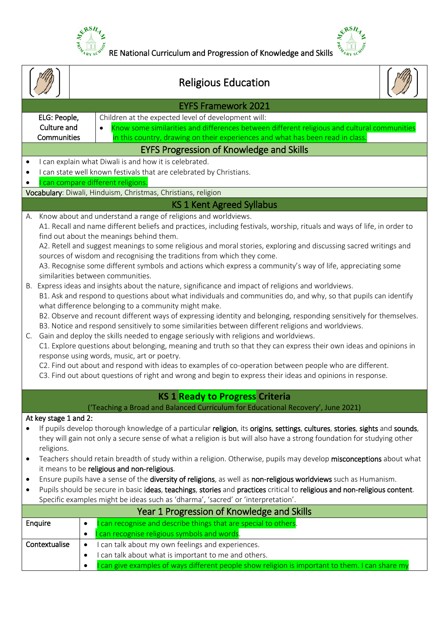

 $\frac{e^{x}{}^{RSH}{}_{z}}{e^{x}{}_{4R_{Y}}e^{x}}$  RE National Curriculum and Progression of Knowledge and Skills  $\frac{e^{x}{}^{RSH}{}_{z}}{e^{x}{}_{4R_{Y}}e^{x}}$ 

|                                            |                                                                                                                                      | <b>Religious Education</b>                                                                                                                                                                  |  |  |  |  |
|--------------------------------------------|--------------------------------------------------------------------------------------------------------------------------------------|---------------------------------------------------------------------------------------------------------------------------------------------------------------------------------------------|--|--|--|--|
| <b>EYFS Framework 2021</b>                 |                                                                                                                                      |                                                                                                                                                                                             |  |  |  |  |
|                                            | ELG: People,                                                                                                                         | Children at the expected level of development will:                                                                                                                                         |  |  |  |  |
|                                            | Culture and                                                                                                                          | Know some similarities and differences between different religious and cultural communities                                                                                                 |  |  |  |  |
|                                            | Communities                                                                                                                          | in this country, drawing on their experiences and what has been read in class.                                                                                                              |  |  |  |  |
|                                            |                                                                                                                                      | <b>EYFS Progression of Knowledge and Skills</b>                                                                                                                                             |  |  |  |  |
|                                            |                                                                                                                                      | I can explain what Diwali is and how it is celebrated.                                                                                                                                      |  |  |  |  |
|                                            |                                                                                                                                      | I can state well known festivals that are celebrated by Christians.                                                                                                                         |  |  |  |  |
|                                            |                                                                                                                                      | can compare different religions.                                                                                                                                                            |  |  |  |  |
|                                            |                                                                                                                                      | Vocabulary: Diwali, Hinduism, Christmas, Christians, religion                                                                                                                               |  |  |  |  |
|                                            |                                                                                                                                      | <b>KS 1 Kent Agreed Syllabus</b>                                                                                                                                                            |  |  |  |  |
| А.                                         |                                                                                                                                      | Know about and understand a range of religions and worldviews.                                                                                                                              |  |  |  |  |
|                                            |                                                                                                                                      | A1. Recall and name different beliefs and practices, including festivals, worship, rituals and ways of life, in order to                                                                    |  |  |  |  |
|                                            |                                                                                                                                      | find out about the meanings behind them.<br>A2. Retell and suggest meanings to some religious and moral stories, exploring and discussing sacred writings and                               |  |  |  |  |
|                                            |                                                                                                                                      | sources of wisdom and recognising the traditions from which they come.                                                                                                                      |  |  |  |  |
|                                            |                                                                                                                                      | A3. Recognise some different symbols and actions which express a community's way of life, appreciating some                                                                                 |  |  |  |  |
|                                            |                                                                                                                                      | similarities between communities.                                                                                                                                                           |  |  |  |  |
|                                            |                                                                                                                                      | B. Express ideas and insights about the nature, significance and impact of religions and worldviews.                                                                                        |  |  |  |  |
|                                            |                                                                                                                                      | B1. Ask and respond to questions about what individuals and communities do, and why, so that pupils can identify                                                                            |  |  |  |  |
|                                            |                                                                                                                                      | what difference belonging to a community might make.                                                                                                                                        |  |  |  |  |
|                                            |                                                                                                                                      | B2. Observe and recount different ways of expressing identity and belonging, responding sensitively for themselves.                                                                         |  |  |  |  |
| C.                                         |                                                                                                                                      | B3. Notice and respond sensitively to some similarities between different religions and worldviews.<br>Gain and deploy the skills needed to engage seriously with religions and worldviews. |  |  |  |  |
|                                            |                                                                                                                                      | C1. Explore questions about belonging, meaning and truth so that they can express their own ideas and opinions in                                                                           |  |  |  |  |
|                                            |                                                                                                                                      | response using words, music, art or poetry.                                                                                                                                                 |  |  |  |  |
|                                            |                                                                                                                                      | C2. Find out about and respond with ideas to examples of co-operation between people who are different.                                                                                     |  |  |  |  |
|                                            |                                                                                                                                      | C3. Find out about questions of right and wrong and begin to express their ideas and opinions in response.                                                                                  |  |  |  |  |
|                                            |                                                                                                                                      |                                                                                                                                                                                             |  |  |  |  |
|                                            |                                                                                                                                      | <b>KS 1 Ready to Progress Criteria</b>                                                                                                                                                      |  |  |  |  |
|                                            |                                                                                                                                      | ('Teaching a Broad and Balanced Curriculum for Educational Recovery', June 2021)                                                                                                            |  |  |  |  |
|                                            | At key stage 1 and 2:                                                                                                                |                                                                                                                                                                                             |  |  |  |  |
|                                            |                                                                                                                                      | If pupils develop thorough knowledge of a particular religion, its origins, settings, cultures, stories, sights and sounds,                                                                 |  |  |  |  |
|                                            | they will gain not only a secure sense of what a religion is but will also have a strong foundation for studying other<br>religions. |                                                                                                                                                                                             |  |  |  |  |
|                                            | Teachers should retain breadth of study within a religion. Otherwise, pupils may develop misconceptions about what                   |                                                                                                                                                                                             |  |  |  |  |
|                                            |                                                                                                                                      | it means to be religious and non-religious.                                                                                                                                                 |  |  |  |  |
| ٠                                          | Ensure pupils have a sense of the diversity of religions, as well as non-religious worldviews such as Humanism.                      |                                                                                                                                                                                             |  |  |  |  |
| ٠                                          |                                                                                                                                      | Pupils should be secure in basic ideas, teachings, stories and practices critical to religious and non-religious content.                                                                   |  |  |  |  |
|                                            | Specific examples might be ideas such as 'dharma', 'sacred' or 'interpretation'.                                                     |                                                                                                                                                                                             |  |  |  |  |
| Year 1 Progression of Knowledge and Skills |                                                                                                                                      |                                                                                                                                                                                             |  |  |  |  |
|                                            | Enquire<br>$\bullet$                                                                                                                 | can recognise and describe things that are special to others.                                                                                                                               |  |  |  |  |
|                                            | $\bullet$                                                                                                                            | can recognise religious symbols and words.                                                                                                                                                  |  |  |  |  |
|                                            | Contextualise<br>$\bullet$                                                                                                           | can talk about my own feelings and experiences.                                                                                                                                             |  |  |  |  |
|                                            | $\bullet$                                                                                                                            | can talk about what is important to me and others.                                                                                                                                          |  |  |  |  |
|                                            |                                                                                                                                      | can give examples of ways different people show religion is important to them. I can share my                                                                                               |  |  |  |  |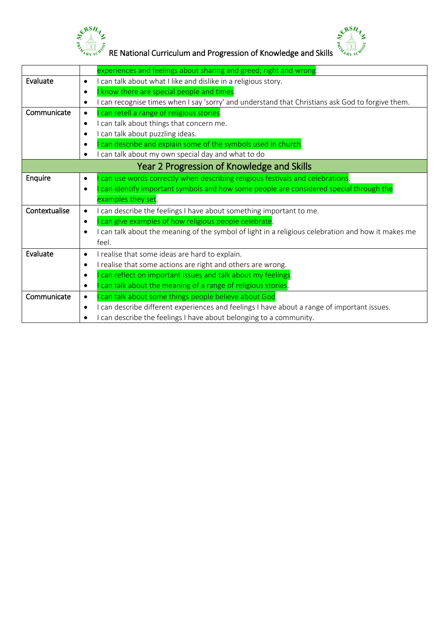



 $\begin{Bmatrix} \mathcal{R}^{BSR} & \mathcal{R}^{BSR} \ \mathcal{R}^{BSR} & \mathcal{R}^{BSR} \end{Bmatrix}$  RE National Curriculum and Progression of Knowledge and Skills  $\begin{Bmatrix} \mathcal{R}^{BSR} & \mathcal{R}^{BSR} \ \mathcal{R}^{BSR} & \mathcal{R}^{BSR} \end{Bmatrix}$ 

|               | experiences and feelings about sharing and greed; right and wrong.                                              |
|---------------|-----------------------------------------------------------------------------------------------------------------|
| Evaluate      | I can talk about what I like and dislike in a religious story.<br>$\bullet$                                     |
|               | I know there are special people and times.<br>$\bullet$                                                         |
|               | can recognise times when I say 'sorry' and understand that Christians ask God to forgive them.<br>٠             |
| Communicate   | can retell a range of religious stories.<br>٠                                                                   |
|               | can talk about things that concern me.<br>$\bullet$                                                             |
|               | can talk about puzzling ideas.<br>٠                                                                             |
|               | can describe and explain some of the symbols used in church.<br>٠                                               |
|               | can talk about my own special day and what to do                                                                |
|               | Year 2 Progression of Knowledge and Skills                                                                      |
| Enquire       | can use words correctly when describing religious festivals and celebrations.<br>$\bullet$                      |
|               | can identify important symbols and how some people are considered special through the<br>$\bullet$              |
|               | examples they set.                                                                                              |
| Contextualise | can describe the feelings I have about something important to me.<br>$\bullet$                                  |
|               | can give examples of how religious people celebrate.<br>٠                                                       |
|               | I can talk about the meaning of the symbol of light in a religious celebration and how it makes me<br>$\bullet$ |
|               | feel.                                                                                                           |
| Evaluate      | I realise that some ideas are hard to explain.<br>$\bullet$                                                     |
|               | I realise that some actions are right and others are wrong.<br>٠                                                |
|               | can reflect on important issues and talk about my feelings.<br>$\bullet$                                        |
|               | can talk about the meaning of a range of religious stories.<br>$\bullet$                                        |
| Communicate   | can talk about some things people believe about God<br>$\bullet$                                                |
|               | can describe different experiences and feelings I have about a range of important issues.<br>$\bullet$          |
|               | can describe the feelings I have about belonging to a community.                                                |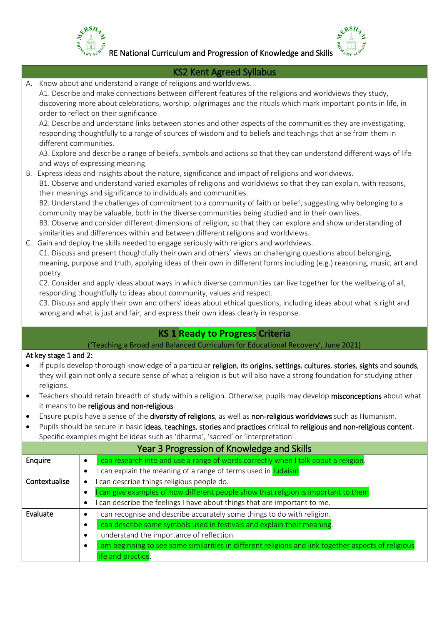

 $\frac{e^{x}{}^{RSH}z}{\sqrt[3]{\frac{10}{x_{16}}e^{x_{2}}}}$  RE National Curriculum and Progression of Knowledge and Skills  $\frac{e^{x}{}^{RSH}z}{\sqrt[3]{\frac{10}{x_{16}}e^{x_{2}}}}$ 

|                                            | <b>KS2 Kent Agreed Syllabus</b>                                                                                                                                                                                                                                                                                                                                                                                                                                                                                                                                                                                                                                                                                                                                                                                                                                                                                                                                                                                                                                                                                                                                             |  |  |  |  |  |
|--------------------------------------------|-----------------------------------------------------------------------------------------------------------------------------------------------------------------------------------------------------------------------------------------------------------------------------------------------------------------------------------------------------------------------------------------------------------------------------------------------------------------------------------------------------------------------------------------------------------------------------------------------------------------------------------------------------------------------------------------------------------------------------------------------------------------------------------------------------------------------------------------------------------------------------------------------------------------------------------------------------------------------------------------------------------------------------------------------------------------------------------------------------------------------------------------------------------------------------|--|--|--|--|--|
| А.<br>different communities.               | Know about and understand a range of religions and worldviews.<br>A1. Describe and make connections between different features of the religions and worldviews they study,<br>discovering more about celebrations, worship, pilgrimages and the rituals which mark important points in life, in<br>order to reflect on their significance<br>A2. Describe and understand links between stories and other aspects of the communities they are investigating,<br>responding thoughtfully to a range of sources of wisdom and to beliefs and teachings that arise from them in<br>A3. Explore and describe a range of beliefs, symbols and actions so that they can understand different ways of life<br>and ways of expressing meaning.                                                                                                                                                                                                                                                                                                                                                                                                                                       |  |  |  |  |  |
| poetry.                                    | B. Express ideas and insights about the nature, significance and impact of religions and worldviews.<br>B1. Observe and understand varied examples of religions and worldviews so that they can explain, with reasons,<br>their meanings and significance to individuals and communities.<br>B2. Understand the challenges of commitment to a community of faith or belief, suggesting why belonging to a<br>community may be valuable, both in the diverse communities being studied and in their own lives.<br>B3. Observe and consider different dimensions of religion, so that they can explore and show understanding of<br>similarities and differences within and between different religions and worldviews.<br>C. Gain and deploy the skills needed to engage seriously with religions and worldviews.<br>C1. Discuss and present thoughtfully their own and others' views on challenging questions about belonging,<br>meaning, purpose and truth, applying ideas of their own in different forms including (e.g.) reasoning, music, art and<br>C2. Consider and apply ideas about ways in which diverse communities can live together for the wellbeing of all, |  |  |  |  |  |
|                                            | responding thoughtfully to ideas about community, values and respect.<br>C3. Discuss and apply their own and others' ideas about ethical questions, including ideas about what is right and<br>wrong and what is just and fair, and express their own ideas clearly in response.                                                                                                                                                                                                                                                                                                                                                                                                                                                                                                                                                                                                                                                                                                                                                                                                                                                                                            |  |  |  |  |  |
|                                            | <b>KS 1 Ready to Progress Criteria</b>                                                                                                                                                                                                                                                                                                                                                                                                                                                                                                                                                                                                                                                                                                                                                                                                                                                                                                                                                                                                                                                                                                                                      |  |  |  |  |  |
|                                            | ('Teaching a Broad and Balanced Curriculum for Educational Recovery', June 2021)                                                                                                                                                                                                                                                                                                                                                                                                                                                                                                                                                                                                                                                                                                                                                                                                                                                                                                                                                                                                                                                                                            |  |  |  |  |  |
| At key stage 1 and 2:<br>religions.        | If pupils develop thorough knowledge of a particular religion, its origins, settings, cultures, stories, sights and sounds,<br>they will gain not only a secure sense of what a religion is but will also have a strong foundation for studying other<br>Teachers should retain breadth of study within a religion. Otherwise, pupils may develop misconceptions about what<br>it means to be religious and non-religious.                                                                                                                                                                                                                                                                                                                                                                                                                                                                                                                                                                                                                                                                                                                                                  |  |  |  |  |  |
|                                            | Ensure pupils have a sense of the diversity of religions, as well as non-religious worldviews such as Humanism.                                                                                                                                                                                                                                                                                                                                                                                                                                                                                                                                                                                                                                                                                                                                                                                                                                                                                                                                                                                                                                                             |  |  |  |  |  |
|                                            | Pupils should be secure in basic ideas, teachings, stories and practices critical to religious and non-religious content.<br>Specific examples might be ideas such as 'dharma', 'sacred' or 'interpretation'.                                                                                                                                                                                                                                                                                                                                                                                                                                                                                                                                                                                                                                                                                                                                                                                                                                                                                                                                                               |  |  |  |  |  |
| Year 3 Progression of Knowledge and Skills |                                                                                                                                                                                                                                                                                                                                                                                                                                                                                                                                                                                                                                                                                                                                                                                                                                                                                                                                                                                                                                                                                                                                                                             |  |  |  |  |  |
| <b>Enquire</b>                             | can research into and use a range of words correctly when I talk about a religion.<br>$\bullet$                                                                                                                                                                                                                                                                                                                                                                                                                                                                                                                                                                                                                                                                                                                                                                                                                                                                                                                                                                                                                                                                             |  |  |  |  |  |
|                                            | I can explain the meaning of a range of terms used in Judaism.<br>$\bullet$                                                                                                                                                                                                                                                                                                                                                                                                                                                                                                                                                                                                                                                                                                                                                                                                                                                                                                                                                                                                                                                                                                 |  |  |  |  |  |
| Contextualise                              | I can describe things religious people do.<br>$\bullet$<br>can give examples of how different people show that religion is important to them.<br>$\bullet$<br>I can describe the feelings I have about things that are important to me.<br>٠                                                                                                                                                                                                                                                                                                                                                                                                                                                                                                                                                                                                                                                                                                                                                                                                                                                                                                                                |  |  |  |  |  |
| Evaluate                                   | can recognise and describe accurately some things to do with religion.<br>$\bullet$<br>can describe some symbols used in festivals and explain their meaning.<br>$\bullet$<br>I understand the importance of reflection.<br>$\bullet$<br>am beginning to see some similarities in different religions and link together aspects of religious<br>$\bullet$<br>life and practice.                                                                                                                                                                                                                                                                                                                                                                                                                                                                                                                                                                                                                                                                                                                                                                                             |  |  |  |  |  |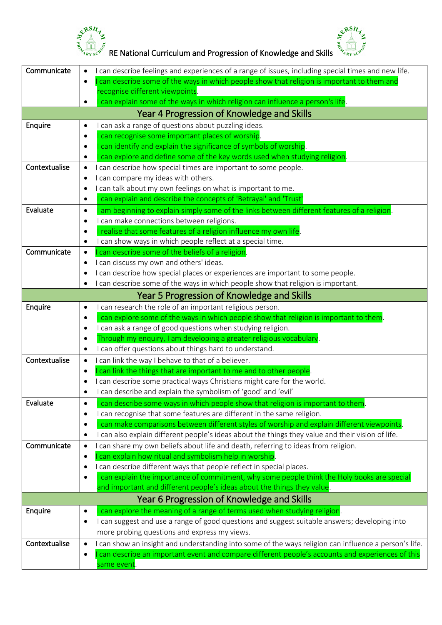



|               | &RSH                                                                                                                                                                           |
|---------------|--------------------------------------------------------------------------------------------------------------------------------------------------------------------------------|
|               | RE National Curriculum and Progression of Knowledge and Skills                                                                                                                 |
| Communicate   | I can describe feelings and experiences of a range of issues, including special times and new life.<br>$\bullet$                                                               |
|               | can describe some of the ways in which people show that religion is important to them and<br>$\bullet$                                                                         |
|               | recognise different viewpoints.                                                                                                                                                |
|               | can explain some of the ways in which religion can influence a person's life.                                                                                                  |
|               | Year 4 Progression of Knowledge and Skills                                                                                                                                     |
| Enquire       | can ask a range of questions about puzzling ideas.<br>٠<br>can recognise some important places of worship.<br>$\bullet$                                                        |
|               | can identify and explain the significance of symbols of worship.<br>$\bullet$                                                                                                  |
|               | can explore and define some of the key words used when studying religion.<br>$\bullet$                                                                                         |
| Contextualise | I can describe how special times are important to some people.<br>$\bullet$                                                                                                    |
|               | I can compare my ideas with others.                                                                                                                                            |
|               | I can talk about my own feelings on what is important to me.                                                                                                                   |
|               | can explain and describe the concepts of 'Betrayal' and 'Trust'<br>$\bullet$                                                                                                   |
| Evaluate      | am beginning to explain simply some of the links between different features of a religion.<br>$\bullet$                                                                        |
|               | I can make connections between religions.<br>$\bullet$                                                                                                                         |
|               | realise that some features of a religion influence my own life.<br>$\bullet$                                                                                                   |
| Communicate   | I can show ways in which people reflect at a special time.<br>٠<br>can describe some of the beliefs of a religion.<br>$\bullet$                                                |
|               | I can discuss my own and others' ideas.<br>٠                                                                                                                                   |
|               | I can describe how special places or experiences are important to some people.                                                                                                 |
|               | I can describe some of the ways in which people show that religion is important.                                                                                               |
|               | Year 5 Progression of Knowledge and Skills                                                                                                                                     |
| Enquire       | I can research the role of an important religious person.<br>٠                                                                                                                 |
|               | can explore some of the ways in which people show that religion is important to them.<br>$\bullet$                                                                             |
|               | I can ask a range of good questions when studying religion.<br>٠                                                                                                               |
|               | Through my enquiry, I am developing a greater religious vocabulary.                                                                                                            |
|               | I can offer questions about things hard to understand.                                                                                                                         |
| Contextualise | I can link the way I behave to that of a believer.                                                                                                                             |
|               | can link the things that are important to me and to other people.<br>٠<br>I can describe some practical ways Christians might care for the world.                              |
|               | $\bullet$<br>I can describe and explain the symbolism of 'good' and 'evil'<br>$\bullet$                                                                                        |
| Evaluate      | can describe some ways in which people show that religion is important to them.<br>$\bullet$                                                                                   |
|               | can recognise that some features are different in the same religion.<br>$\bullet$                                                                                              |
|               | can make comparisons between different styles of worship and explain different viewpoints.<br>$\bullet$                                                                        |
|               | can also explain different people's ideas about the things they value and their vision of life.<br>٠                                                                           |
| Communicate   | can share my own beliefs about life and death, referring to ideas from religion.<br>$\bullet$                                                                                  |
|               | can explain how ritual and symbolism help in worship.<br>$\bullet$                                                                                                             |
|               | I can describe different ways that people reflect in special places.<br>٠                                                                                                      |
|               | can explain the importance of commitment, why some people think the Holy books are special<br>٠                                                                                |
|               | and important and different people's ideas about the things they value.                                                                                                        |
|               | Year 6 Progression of Knowledge and Skills                                                                                                                                     |
| Enquire       | can explore the meaning of a range of terms used when studying religion.<br>٠<br>I can suggest and use a range of good questions and suggest suitable answers; developing into |
|               | $\bullet$<br>more probing questions and express my views.                                                                                                                      |
| Contextualise | I can show an insight and understanding into some of the ways religion can influence a person's life.                                                                          |
|               | can describe an important event and compare different people's accounts and experiences of this<br>$\bullet$                                                                   |
|               | same event.                                                                                                                                                                    |